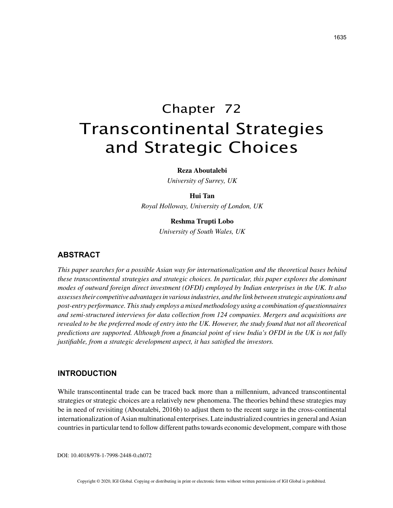# Chapter 72 Transcontinental Strategies and Strategic Choices

**Reza Aboutalebi**

*University of Surrey, UK*

#### **Hui Tan**

*Royal Holloway, University of London, UK*

#### **Reshma Trupti Lobo**

*University of South Wales, UK*

# **ABSTRACT**

*This paper searches for a possible Asian way for internationalization and the theoretical bases behind these transcontinental strategies and strategic choices. In particular, this paper explores the dominant modes of outward foreign direct investment (OFDI) employed by Indian enterprises in the UK. It also assesses their competitive advantages in various industries, and the link between strategic aspirations and post-entry performance. This study employs a mixed methodology using a combination of questionnaires and semi-structured interviews for data collection from 124 companies. Mergers and acquisitions are revealed to be the preferred mode of entry into the UK. However, the study found that not all theoretical predictions are supported. Although from a financial point of view India's OFDI in the UK is not fully justifiable, from a strategic development aspect, it has satisfied the investors.*

## **INTRODUCTION**

While transcontinental trade can be traced back more than a millennium, advanced transcontinental strategies or strategic choices are a relatively new phenomena. The theories behind these strategies may be in need of revisiting (Aboutalebi, 2016b) to adjust them to the recent surge in the cross-continental internationalization of Asian multinational enterprises. Late industrialized countries in general and Asian countries in particular tend to follow different paths towards economic development, compare with those

DOI: 10.4018/978-1-7998-2448-0.ch072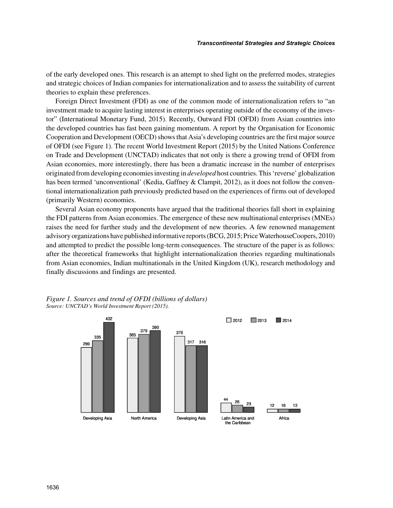of the early developed ones. This research is an attempt to shed light on the preferred modes, strategies and strategic choices of Indian companies for internationalization and to assess the suitability of current theories to explain these preferences.

Foreign Direct Investment (FDI) as one of the common mode of internationalization refers to "an investment made to acquire lasting interest in enterprises operating outside of the economy of the investor" (International Monetary Fund, 2015). Recently, Outward FDI (OFDI) from Asian countries into the developed countries has fast been gaining momentum. A report by the Organisation for Economic Cooperation and Development (OECD) shows that Asia's developing countries are the first major source of OFDI (see Figure 1). The recent World Investment Report (2015) by the United Nations Conference on Trade and Development (UNCTAD) indicates that not only is there a growing trend of OFDI from Asian economies, more interestingly, there has been a dramatic increase in the number of enterprises originated from developing economies investing in *developed* host countries. This 'reverse' globalization has been termed 'unconventional' (Kedia, Gaffney & Clampit, 2012), as it does not follow the conventional internationalization path previously predicted based on the experiences of firms out of developed (primarily Western) economies.

Several Asian economy proponents have argued that the traditional theories fall short in explaining the FDI patterns from Asian economies. The emergence of these new multinational enterprises (MNEs) raises the need for further study and the development of new theories. A few renowned management advisory organizations have published informative reports (BCG, 2015; Price WaterhouseCoopers, 2010) and attempted to predict the possible long-term consequences. The structure of the paper is as follows: after the theoretical frameworks that highlight internationalization theories regarding multinationals from Asian economies, Indian multinationals in the United Kingdom (UK), research methodology and finally discussions and findings are presented.